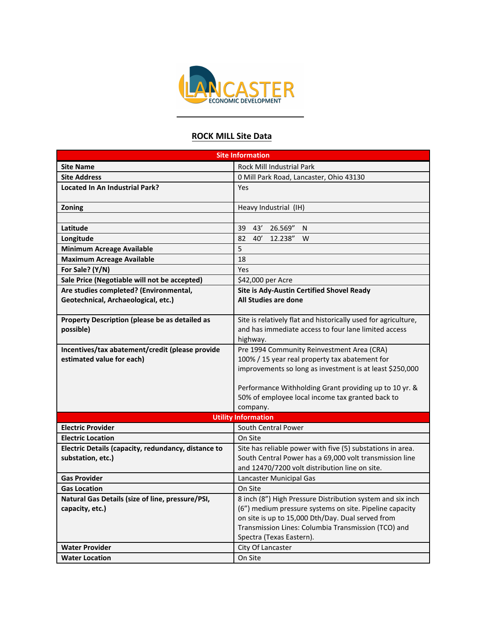

## **ROCK MILL Site Data**

| <b>Site Information</b>                             |                                                                |  |
|-----------------------------------------------------|----------------------------------------------------------------|--|
| <b>Site Name</b>                                    | <b>Rock Mill Industrial Park</b>                               |  |
| <b>Site Address</b>                                 | 0 Mill Park Road, Lancaster, Ohio 43130                        |  |
| <b>Located In An Industrial Park?</b>               | Yes                                                            |  |
|                                                     |                                                                |  |
| Zoning                                              | Heavy Industrial (IH)                                          |  |
|                                                     |                                                                |  |
| Latitude                                            | 43'<br>39<br>26.569"<br>N                                      |  |
| Longitude                                           | 82<br>40'<br>12.238"<br>W                                      |  |
| <b>Minimum Acreage Available</b>                    | 5                                                              |  |
| <b>Maximum Acreage Available</b>                    | 18                                                             |  |
| For Sale? (Y/N)                                     | Yes                                                            |  |
| Sale Price (Negotiable will not be accepted)        | \$42,000 per Acre                                              |  |
| Are studies completed? (Environmental,              | Site is Ady-Austin Certified Shovel Ready                      |  |
| Geotechnical, Archaeological, etc.)                 | All Studies are done                                           |  |
|                                                     |                                                                |  |
| Property Description (please be as detailed as      | Site is relatively flat and historically used for agriculture, |  |
| possible)                                           | and has immediate access to four lane limited access           |  |
|                                                     | highway.                                                       |  |
| Incentives/tax abatement/credit (please provide     | Pre 1994 Community Reinvestment Area (CRA)                     |  |
| estimated value for each)                           | 100% / 15 year real property tax abatement for                 |  |
|                                                     | improvements so long as investment is at least \$250,000       |  |
|                                                     | Performance Withholding Grant providing up to 10 yr. &         |  |
|                                                     | 50% of employee local income tax granted back to               |  |
|                                                     | company.                                                       |  |
|                                                     | <b>Utility Information</b>                                     |  |
| <b>Electric Provider</b>                            | South Central Power                                            |  |
| <b>Electric Location</b>                            | On Site                                                        |  |
| Electric Details (capacity, redundancy, distance to | Site has reliable power with five (5) substations in area.     |  |
| substation, etc.)                                   | South Central Power has a 69,000 volt transmission line        |  |
|                                                     | and 12470/7200 volt distribution line on site.                 |  |
| <b>Gas Provider</b>                                 | Lancaster Municipal Gas                                        |  |
| <b>Gas Location</b>                                 | On Site                                                        |  |
| Natural Gas Details (size of line, pressure/PSI,    | 8 inch (8") High Pressure Distribution system and six inch     |  |
| capacity, etc.)                                     | (6") medium pressure systems on site. Pipeline capacity        |  |
|                                                     | on site is up to 15,000 Dth/Day. Dual served from              |  |
|                                                     | Transmission Lines: Columbia Transmission (TCO) and            |  |
|                                                     | Spectra (Texas Eastern).                                       |  |
| <b>Water Provider</b>                               | City Of Lancaster                                              |  |
| <b>Water Location</b>                               | On Site                                                        |  |